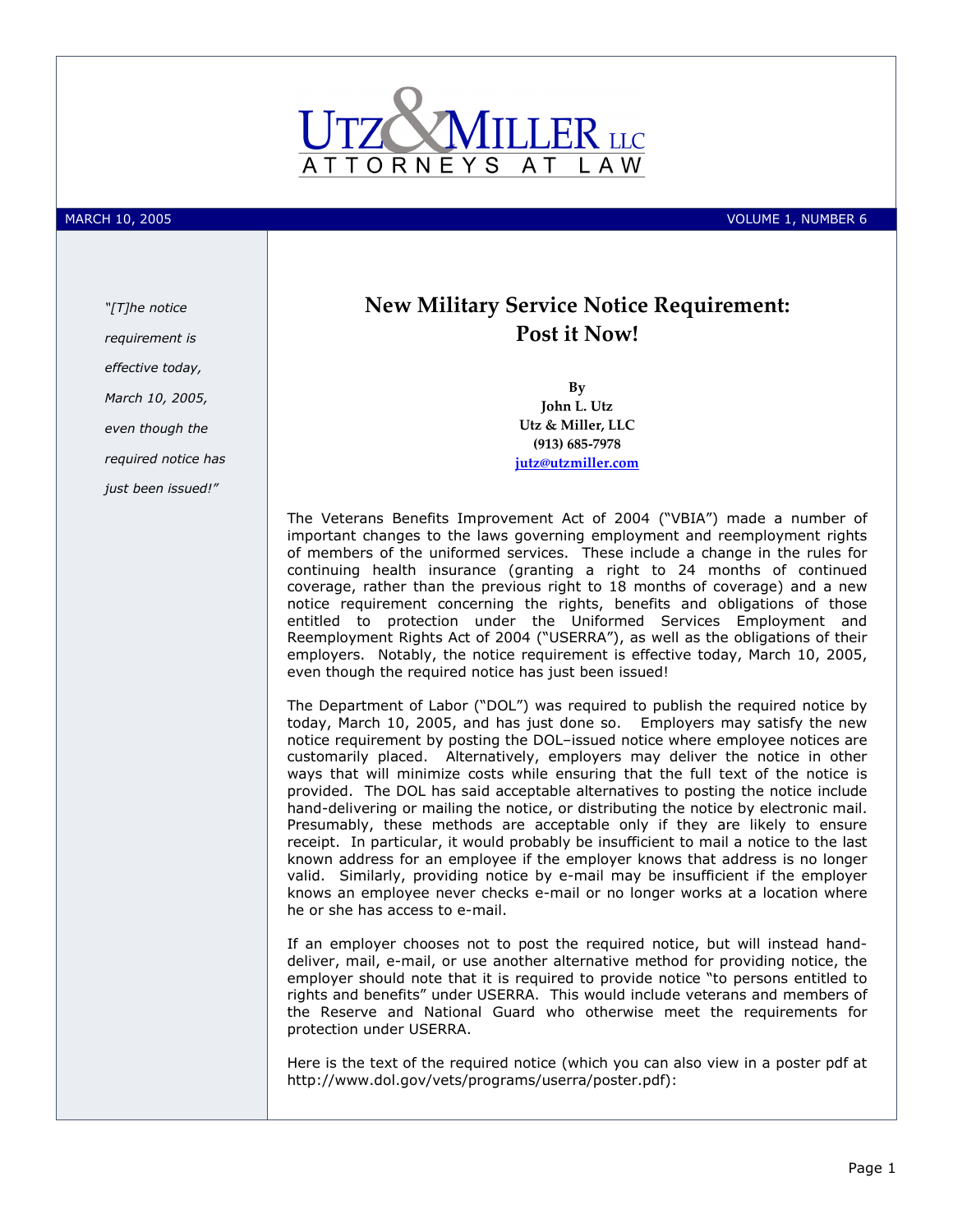

"[T]he notice

requirement is effective today, March 10, 2005, even though the

required notice has just been issued!"

MARCH 10, 2005 No. 2009 No. 2009 No. 2010 No. 2010 No. 2010 No. 2010 No. 2010 No. 2010 No. 2010 No. 2010 No. 2010 No. 2010 No. 2010 No. 2010 No. 2010 No. 2010 No. 2010 No. 2010 No. 2010 No. 2010 No. 2010 No. 2010 No. 2010

# New Military Service Notice Requirement: Post it Now!

By John L. Utz Utz & Miller, LLC (913) 685-7978 jutz@utzmiller.com

The Veterans Benefits Improvement Act of 2004 ("VBIA") made a number of important changes to the laws governing employment and reemployment rights of members of the uniformed services. These include a change in the rules for continuing health insurance (granting a right to 24 months of continued coverage, rather than the previous right to 18 months of coverage) and a new notice requirement concerning the rights, benefits and obligations of those entitled to protection under the Uniformed Services Employment and Reemployment Rights Act of 2004 ("USERRA"), as well as the obligations of their employers. Notably, the notice requirement is effective today, March 10, 2005, even though the required notice has just been issued!

The Department of Labor ("DOL") was required to publish the required notice by today, March 10, 2005, and has just done so. Employers may satisfy the new notice requirement by posting the DOL–issued notice where employee notices are customarily placed. Alternatively, employers may deliver the notice in other ways that will minimize costs while ensuring that the full text of the notice is provided. The DOL has said acceptable alternatives to posting the notice include hand-delivering or mailing the notice, or distributing the notice by electronic mail. Presumably, these methods are acceptable only if they are likely to ensure receipt. In particular, it would probably be insufficient to mail a notice to the last known address for an employee if the employer knows that address is no longer valid. Similarly, providing notice by e-mail may be insufficient if the employer knows an employee never checks e-mail or no longer works at a location where he or she has access to e-mail.

If an employer chooses not to post the required notice, but will instead handdeliver, mail, e-mail, or use another alternative method for providing notice, the employer should note that it is required to provide notice "to persons entitled to rights and benefits" under USERRA. This would include veterans and members of the Reserve and National Guard who otherwise meet the requirements for protection under USERRA.

Here is the text of the required notice (which you can also view in a poster pdf at http://www.dol.gov/vets/programs/userra/poster.pdf):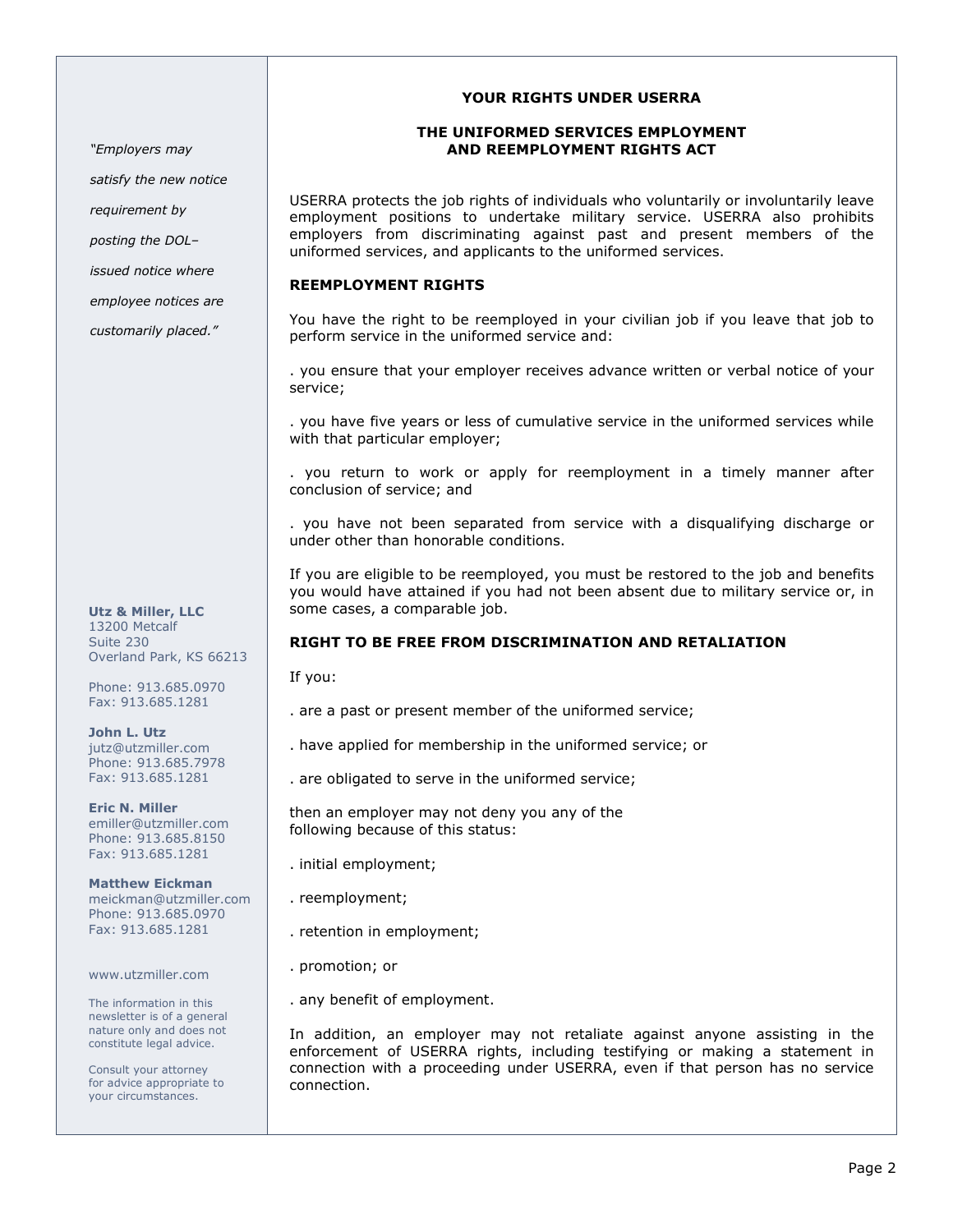# YOUR RIGHTS UNDER USERRA

### THE UNIFORMED SERVICES EMPLOYMENT AND REEMPLOYMENT RIGHTS ACT

USERRA protects the job rights of individuals who voluntarily or involuntarily leave employment positions to undertake military service. USERRA also prohibits employers from discriminating against past and present members of the uniformed services, and applicants to the uniformed services.

#### REEMPLOYMENT RIGHTS

You have the right to be reemployed in your civilian job if you leave that job to perform service in the uniformed service and:

. you ensure that your employer receives advance written or verbal notice of your service;

. you have five years or less of cumulative service in the uniformed services while with that particular employer;

. you return to work or apply for reemployment in a timely manner after conclusion of service; and

. you have not been separated from service with a disqualifying discharge or under other than honorable conditions.

If you are eligible to be reemployed, you must be restored to the job and benefits you would have attained if you had not been absent due to military service or, in some cases, a comparable job.

# RIGHT TO BE FREE FROM DISCRIMINATION AND RETALIATION

If you:

. are a past or present member of the uniformed service;

. have applied for membership in the uniformed service; or

. are obligated to serve in the uniformed service;

then an employer may not deny you any of the following because of this status:

. initial employment;

. reemployment;

. retention in employment;

. promotion; or

. any benefit of employment.

In addition, an employer may not retaliate against anyone assisting in the enforcement of USERRA rights, including testifying or making a statement in connection with a proceeding under USERRA, even if that person has no service connection.

Utz & Miller, LLC 13200 Metcalf Suite 230 Overland Park, KS 66213

"Employers may

requirement by

posting the DOL– issued notice where employee notices are customarily placed."

satisfy the new notice

Phone: 913.685.0970 Fax: 913.685.1281

John L. Utz jutz@utzmiller.com Phone: 913.685.7978 Fax: 913.685.1281

Eric N. Miller emiller@utzmiller.com Phone: 913.685.8150 Fax: 913.685.1281

Matthew Eickman meickman@utzmiller.com Phone: 913.685.0970 Fax: 913.685.1281

www.utzmiller.com

The information in this newsletter is of a general nature only and does not constitute legal advice.

Consult your attorney for advice appropriate to your circumstances.